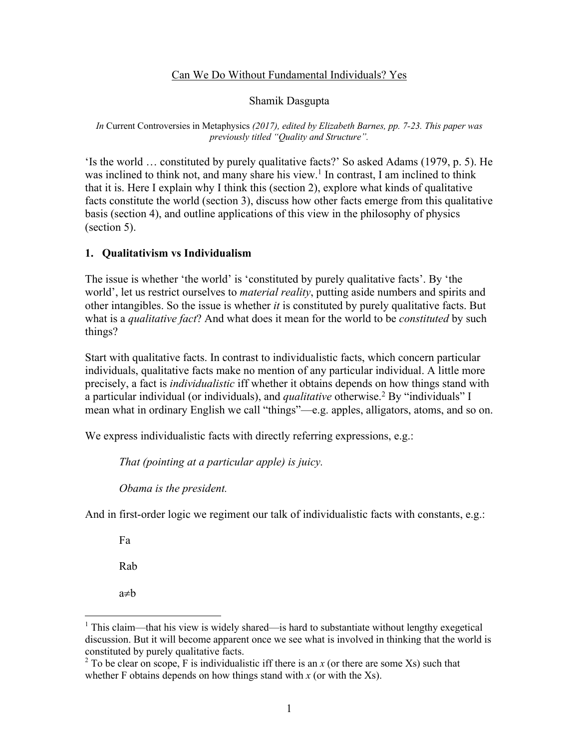### Can We Do Without Fundamental Individuals? Yes

### Shamik Dasgupta

*In* Current Controversies in Metaphysics *(2017), edited by Elizabeth Barnes, pp. 7-23. This paper was previously titled "Quality and Structure".*

'Is the world … constituted by purely qualitative facts?' So asked Adams (1979, p. 5). He was inclined to think not, and many share his view.<sup>1</sup> In contrast, I am inclined to think that it is. Here I explain why I think this (section 2), explore what kinds of qualitative facts constitute the world (section 3), discuss how other facts emerge from this qualitative basis (section 4), and outline applications of this view in the philosophy of physics (section 5).

### **1. Qualitativism vs Individualism**

The issue is whether 'the world' is 'constituted by purely qualitative facts'. By 'the world', let us restrict ourselves to *material reality*, putting aside numbers and spirits and other intangibles. So the issue is whether *it* is constituted by purely qualitative facts. But what is a *qualitative fact*? And what does it mean for the world to be *constituted* by such things?

Start with qualitative facts. In contrast to individualistic facts, which concern particular individuals, qualitative facts make no mention of any particular individual. A little more precisely, a fact is *individualistic* iff whether it obtains depends on how things stand with a particular individual (or individuals), and *qualitative* otherwise.2 By "individuals" I mean what in ordinary English we call "things"—e.g. apples, alligators, atoms, and so on.

We express individualistic facts with directly referring expressions, e.g.:

*That (pointing at a particular apple) is juicy.*

*Obama is the president.*

And in first-order logic we regiment our talk of individualistic facts with constants, e.g.:

Fa Rab  $a \neq b$ 

 $<sup>1</sup>$  This claim—that his view is widely shared—is hard to substantiate without lengthy exegetical</sup> discussion. But it will become apparent once we see what is involved in thinking that the world is constituted by purely qualitative facts.

<sup>&</sup>lt;sup>2</sup> To be clear on scope, F is individualistic iff there is an  $x$  (or there are some Xs) such that whether F obtains depends on how things stand with *x* (or with the Xs).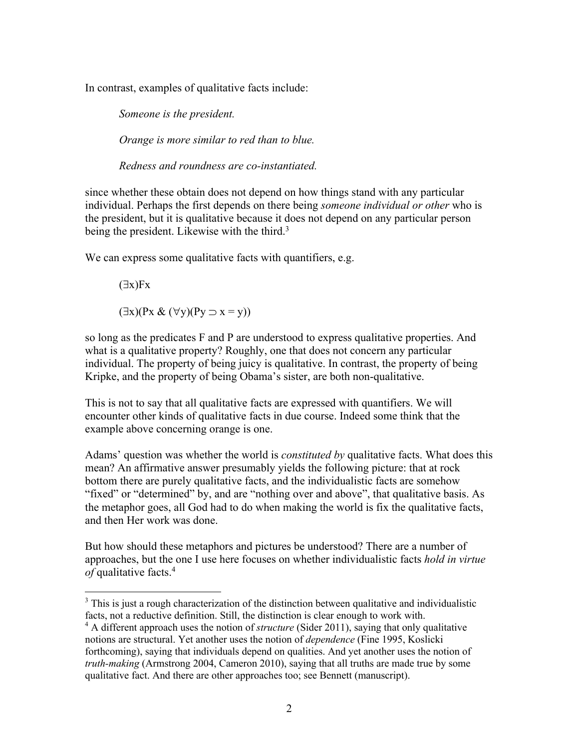In contrast, examples of qualitative facts include:

*Someone is the president. Orange is more similar to red than to blue. Redness and roundness are co-instantiated.*

since whether these obtain does not depend on how things stand with any particular individual. Perhaps the first depends on there being *someone individual or other* who is the president, but it is qualitative because it does not depend on any particular person being the president. Likewise with the third.<sup>3</sup>

We can express some qualitative facts with quantifiers, e.g.

 $(\exists x)Fx$  $(\exists x)(Px \& (\forall y)(Py \supset x = y))$ 

so long as the predicates F and P are understood to express qualitative properties. And what is a qualitative property? Roughly, one that does not concern any particular individual. The property of being juicy is qualitative. In contrast, the property of being Kripke, and the property of being Obama's sister, are both non-qualitative.

This is not to say that all qualitative facts are expressed with quantifiers. We will encounter other kinds of qualitative facts in due course. Indeed some think that the example above concerning orange is one.

Adams' question was whether the world is *constituted by* qualitative facts. What does this mean? An affirmative answer presumably yields the following picture: that at rock bottom there are purely qualitative facts, and the individualistic facts are somehow "fixed" or "determined" by, and are "nothing over and above", that qualitative basis. As the metaphor goes, all God had to do when making the world is fix the qualitative facts, and then Her work was done.

But how should these metaphors and pictures be understood? There are a number of approaches, but the one I use here focuses on whether individualistic facts *hold in virtue of* qualitative facts.4

 $3$  This is just a rough characterization of the distinction between qualitative and individualistic facts, not a reductive definition. Still, the distinction is clear enough to work with.

<sup>4</sup> A different approach uses the notion of *structure* (Sider 2011), saying that only qualitative notions are structural. Yet another uses the notion of *dependence* (Fine 1995, Koslicki forthcoming), saying that individuals depend on qualities. And yet another uses the notion of *truth-making* (Armstrong 2004, Cameron 2010), saying that all truths are made true by some qualitative fact. And there are other approaches too; see Bennett (manuscript).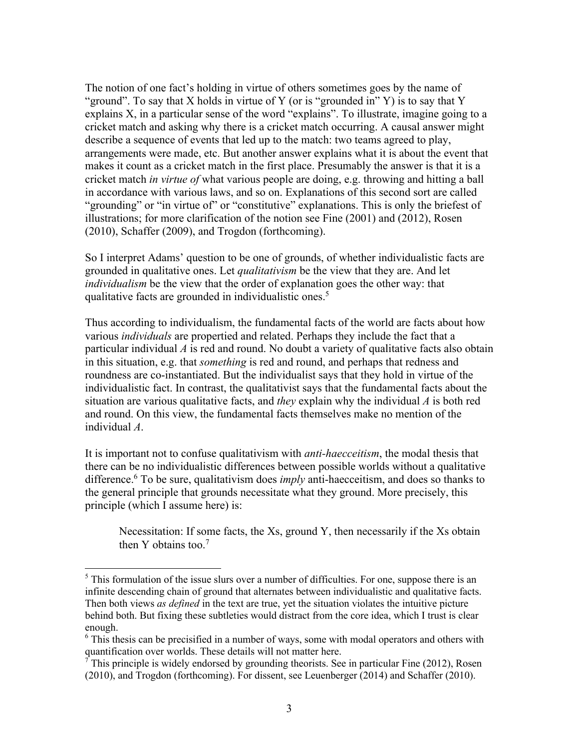The notion of one fact's holding in virtue of others sometimes goes by the name of "ground". To say that X holds in virtue of Y (or is "grounded in" Y) is to say that Y explains X, in a particular sense of the word "explains". To illustrate, imagine going to a cricket match and asking why there is a cricket match occurring. A causal answer might describe a sequence of events that led up to the match: two teams agreed to play, arrangements were made, etc. But another answer explains what it is about the event that makes it count as a cricket match in the first place. Presumably the answer is that it is a cricket match *in virtue of* what various people are doing, e.g. throwing and hitting a ball in accordance with various laws, and so on. Explanations of this second sort are called "grounding" or "in virtue of" or "constitutive" explanations. This is only the briefest of illustrations; for more clarification of the notion see Fine (2001) and (2012), Rosen (2010), Schaffer (2009), and Trogdon (forthcoming).

So I interpret Adams' question to be one of grounds, of whether individualistic facts are grounded in qualitative ones. Let *qualitativism* be the view that they are. And let *individualism* be the view that the order of explanation goes the other way: that qualitative facts are grounded in individualistic ones.<sup>5</sup>

Thus according to individualism, the fundamental facts of the world are facts about how various *individuals* are propertied and related. Perhaps they include the fact that a particular individual *A* is red and round. No doubt a variety of qualitative facts also obtain in this situation, e.g. that *something* is red and round, and perhaps that redness and roundness are co-instantiated. But the individualist says that they hold in virtue of the individualistic fact. In contrast, the qualitativist says that the fundamental facts about the situation are various qualitative facts, and *they* explain why the individual *A* is both red and round. On this view, the fundamental facts themselves make no mention of the individual *A*.

It is important not to confuse qualitativism with *anti-haecceitism*, the modal thesis that there can be no individualistic differences between possible worlds without a qualitative difference.6 To be sure, qualitativism does *imply* anti-haecceitism, and does so thanks to the general principle that grounds necessitate what they ground. More precisely, this principle (which I assume here) is:

Necessitation: If some facts, the Xs, ground Y, then necessarily if the Xs obtain then Y obtains too.7

 $<sup>5</sup>$  This formulation of the issue slurs over a number of difficulties. For one, suppose there is an</sup> infinite descending chain of ground that alternates between individualistic and qualitative facts. Then both views *as defined* in the text are true, yet the situation violates the intuitive picture behind both. But fixing these subtleties would distract from the core idea, which I trust is clear enough.

 $6$  This thesis can be precisified in a number of ways, some with modal operators and others with quantification over worlds. These details will not matter here.

 $\bar{7}$  This principle is widely endorsed by grounding theorists. See in particular Fine (2012), Rosen (2010), and Trogdon (forthcoming). For dissent, see Leuenberger (2014) and Schaffer (2010).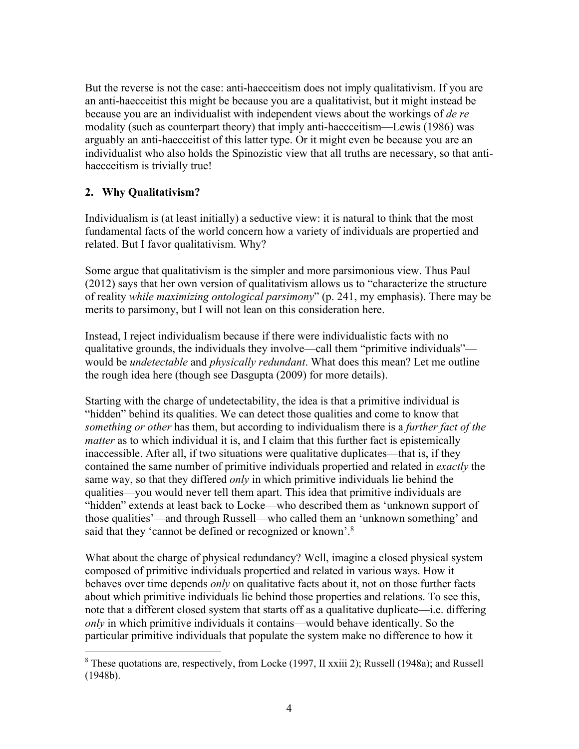But the reverse is not the case: anti-haecceitism does not imply qualitativism. If you are an anti-haecceitist this might be because you are a qualitativist, but it might instead be because you are an individualist with independent views about the workings of *de re* modality (such as counterpart theory) that imply anti-haecceitism—Lewis (1986) was arguably an anti-haecceitist of this latter type. Or it might even be because you are an individualist who also holds the Spinozistic view that all truths are necessary, so that antihaecceitism is trivially true!

## **2. Why Qualitativism?**

Individualism is (at least initially) a seductive view: it is natural to think that the most fundamental facts of the world concern how a variety of individuals are propertied and related. But I favor qualitativism. Why?

Some argue that qualitativism is the simpler and more parsimonious view. Thus Paul (2012) says that her own version of qualitativism allows us to "characterize the structure of reality *while maximizing ontological parsimony*" (p. 241, my emphasis). There may be merits to parsimony, but I will not lean on this consideration here.

Instead, I reject individualism because if there were individualistic facts with no qualitative grounds, the individuals they involve—call them "primitive individuals" would be *undetectable* and *physically redundant*. What does this mean? Let me outline the rough idea here (though see Dasgupta (2009) for more details).

Starting with the charge of undetectability, the idea is that a primitive individual is "hidden" behind its qualities. We can detect those qualities and come to know that *something or other* has them, but according to individualism there is a *further fact of the matter* as to which individual it is, and I claim that this further fact is epistemically inaccessible. After all, if two situations were qualitative duplicates—that is, if they contained the same number of primitive individuals propertied and related in *exactly* the same way, so that they differed *only* in which primitive individuals lie behind the qualities—you would never tell them apart. This idea that primitive individuals are "hidden" extends at least back to Locke—who described them as 'unknown support of those qualities'—and through Russell—who called them an 'unknown something' and said that they 'cannot be defined or recognized or known'.<sup>8</sup>

What about the charge of physical redundancy? Well, imagine a closed physical system composed of primitive individuals propertied and related in various ways. How it behaves over time depends *only* on qualitative facts about it, not on those further facts about which primitive individuals lie behind those properties and relations. To see this, note that a different closed system that starts off as a qualitative duplicate—i.e. differing *only* in which primitive individuals it contains—would behave identically. So the particular primitive individuals that populate the system make no difference to how it

<sup>8</sup> These quotations are, respectively, from Locke (1997, II xxiii 2); Russell (1948a); and Russell (1948b).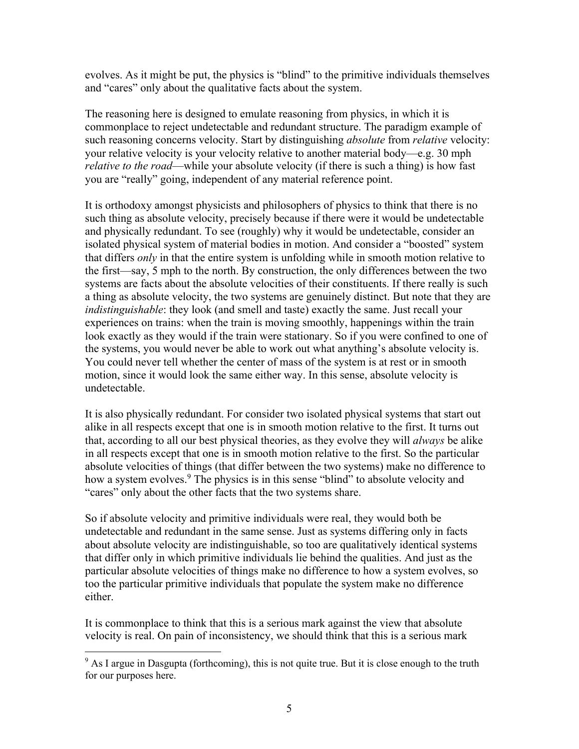evolves. As it might be put, the physics is "blind" to the primitive individuals themselves and "cares" only about the qualitative facts about the system.

The reasoning here is designed to emulate reasoning from physics, in which it is commonplace to reject undetectable and redundant structure. The paradigm example of such reasoning concerns velocity. Start by distinguishing *absolute* from *relative* velocity: your relative velocity is your velocity relative to another material body—e.g. 30 mph *relative to the road*—while your absolute velocity (if there is such a thing) is how fast you are "really" going, independent of any material reference point.

It is orthodoxy amongst physicists and philosophers of physics to think that there is no such thing as absolute velocity, precisely because if there were it would be undetectable and physically redundant. To see (roughly) why it would be undetectable, consider an isolated physical system of material bodies in motion. And consider a "boosted" system that differs *only* in that the entire system is unfolding while in smooth motion relative to the first—say, 5 mph to the north. By construction, the only differences between the two systems are facts about the absolute velocities of their constituents. If there really is such a thing as absolute velocity, the two systems are genuinely distinct. But note that they are *indistinguishable*: they look (and smell and taste) exactly the same. Just recall your experiences on trains: when the train is moving smoothly, happenings within the train look exactly as they would if the train were stationary. So if you were confined to one of the systems, you would never be able to work out what anything's absolute velocity is. You could never tell whether the center of mass of the system is at rest or in smooth motion, since it would look the same either way. In this sense, absolute velocity is undetectable.

It is also physically redundant. For consider two isolated physical systems that start out alike in all respects except that one is in smooth motion relative to the first. It turns out that, according to all our best physical theories, as they evolve they will *always* be alike in all respects except that one is in smooth motion relative to the first. So the particular absolute velocities of things (that differ between the two systems) make no difference to how a system evolves.<sup>9</sup> The physics is in this sense "blind" to absolute velocity and "cares" only about the other facts that the two systems share.

So if absolute velocity and primitive individuals were real, they would both be undetectable and redundant in the same sense. Just as systems differing only in facts about absolute velocity are indistinguishable, so too are qualitatively identical systems that differ only in which primitive individuals lie behind the qualities. And just as the particular absolute velocities of things make no difference to how a system evolves, so too the particular primitive individuals that populate the system make no difference either.

It is commonplace to think that this is a serious mark against the view that absolute velocity is real. On pain of inconsistency, we should think that this is a serious mark

 $9$  As I argue in Dasgupta (forthcoming), this is not quite true. But it is close enough to the truth for our purposes here.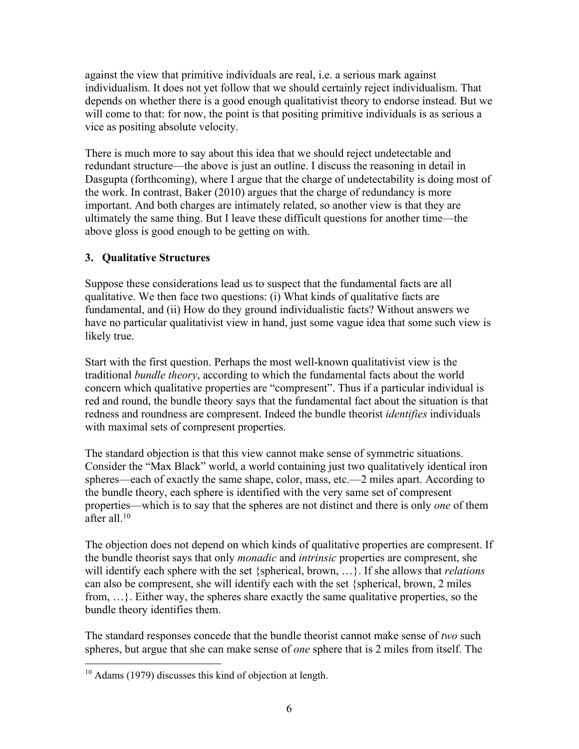against the view that primitive individuals are real, i.e. a serious mark against individualism. It does not yet follow that we should certainly reject individualism. That depends on whether there is a good enough qualitativist theory to endorse instead. But we will come to that: for now, the point is that positing primitive individuals is as serious a vice as positing absolute velocity.

There is much more to say about this idea that we should reject undetectable and redundant structure—the above is just an outline. I discuss the reasoning in detail in Dasgupta (forthcoming), where I argue that the charge of undetectability is doing most of the work. In contrast, Baker (2010) argues that the charge of redundancy is more important. And both charges are intimately related, so another view is that they are ultimately the same thing. But I leave these difficult questions for another time—the above gloss is good enough to be getting on with.

# **3. Qualitative Structures**

Suppose these considerations lead us to suspect that the fundamental facts are all qualitative. We then face two questions: (i) What kinds of qualitative facts are fundamental, and (ii) How do they ground individualistic facts? Without answers we have no particular qualitativist view in hand, just some vague idea that some such view is likely true.

Start with the first question. Perhaps the most well-known qualitativist view is the traditional *bundle theory*, according to which the fundamental facts about the world concern which qualitative properties are "compresent". Thus if a particular individual is red and round, the bundle theory says that the fundamental fact about the situation is that redness and roundness are compresent. Indeed the bundle theorist *identifies* individuals with maximal sets of compresent properties.

The standard objection is that this view cannot make sense of symmetric situations. Consider the "Max Black" world, a world containing just two qualitatively identical iron spheres—each of exactly the same shape, color, mass, etc.—2 miles apart. According to the bundle theory, each sphere is identified with the very same set of compresent properties—which is to say that the spheres are not distinct and there is only *one* of them after all. 10

The objection does not depend on which kinds of qualitative properties are compresent. If the bundle theorist says that only *monadic* and *intrinsic* properties are compresent, she will identify each sphere with the set {spherical, brown, …}. If she allows that *relations* can also be compresent, she will identify each with the set {spherical, brown, 2 miles from, …}. Either way, the spheres share exactly the same qualitative properties, so the bundle theory identifies them.

The standard responses concede that the bundle theorist cannot make sense of *two* such spheres, but argue that she can make sense of *one* sphere that is 2 miles from itself. The

 $10$  Adams (1979) discusses this kind of objection at length.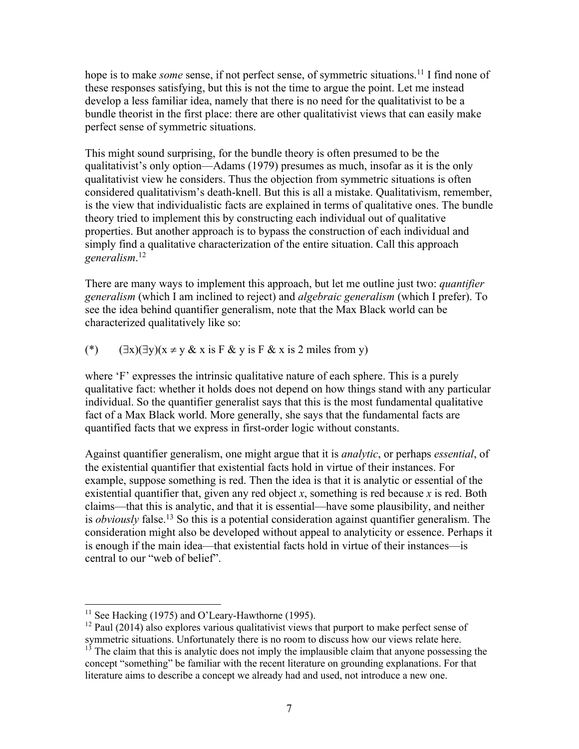hope is to make *some* sense, if not perfect sense, of symmetric situations. <sup>11</sup> I find none of these responses satisfying, but this is not the time to argue the point. Let me instead develop a less familiar idea, namely that there is no need for the qualitativist to be a bundle theorist in the first place: there are other qualitativist views that can easily make perfect sense of symmetric situations.

This might sound surprising, for the bundle theory is often presumed to be the qualitativist's only option—Adams (1979) presumes as much, insofar as it is the only qualitativist view he considers. Thus the objection from symmetric situations is often considered qualitativism's death-knell. But this is all a mistake. Qualitativism, remember, is the view that individualistic facts are explained in terms of qualitative ones. The bundle theory tried to implement this by constructing each individual out of qualitative properties. But another approach is to bypass the construction of each individual and simply find a qualitative characterization of the entire situation. Call this approach *generalism*. 12

There are many ways to implement this approach, but let me outline just two: *quantifier generalism* (which I am inclined to reject) and *algebraic generalism* (which I prefer). To see the idea behind quantifier generalism, note that the Max Black world can be characterized qualitatively like so:

(\*)  $(\exists x)(\exists y)(x \neq y \& x \text{ is } F \& y \text{ is } F \& x \text{ is } 2 \text{ miles from } y)$ 

where 'F' expresses the intrinsic qualitative nature of each sphere. This is a purely qualitative fact: whether it holds does not depend on how things stand with any particular individual. So the quantifier generalist says that this is the most fundamental qualitative fact of a Max Black world. More generally, she says that the fundamental facts are quantified facts that we express in first-order logic without constants.

Against quantifier generalism, one might argue that it is *analytic*, or perhaps *essential*, of the existential quantifier that existential facts hold in virtue of their instances. For example, suppose something is red. Then the idea is that it is analytic or essential of the existential quantifier that, given any red object *x*, something is red because *x* is red. Both claims—that this is analytic, and that it is essential—have some plausibility, and neither is *obviously* false.<sup>13</sup> So this is a potential consideration against quantifier generalism. The consideration might also be developed without appeal to analyticity or essence. Perhaps it is enough if the main idea—that existential facts hold in virtue of their instances—is central to our "web of belief".

<sup>&</sup>lt;sup>11</sup> See Hacking (1975) and O'Leary-Hawthorne (1995).

 $12$  Paul (2014) also explores various qualitativist views that purport to make perfect sense of symmetric situations. Unfortunately there is no room to discuss how our views relate here.  $13$  The claim that this is analytic does not imply the implausible claim that anyone possessing the concept "something" be familiar with the recent literature on grounding explanations. For that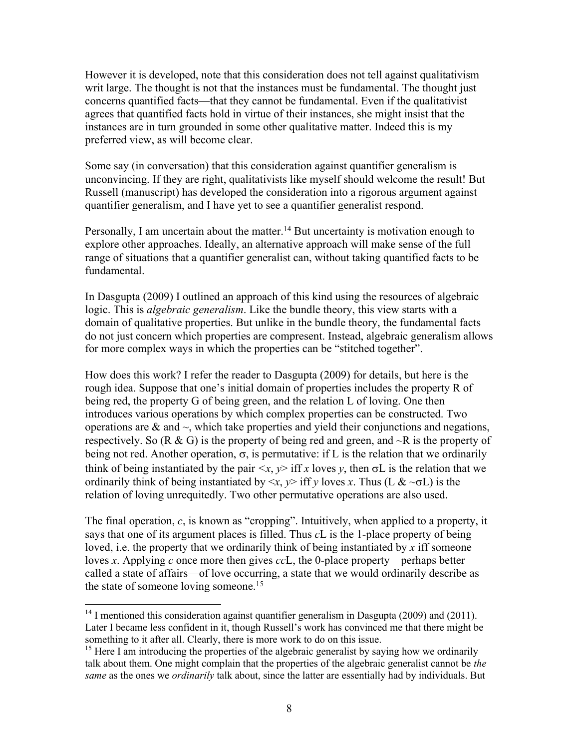However it is developed, note that this consideration does not tell against qualitativism writ large. The thought is not that the instances must be fundamental. The thought just concerns quantified facts—that they cannot be fundamental. Even if the qualitativist agrees that quantified facts hold in virtue of their instances, she might insist that the instances are in turn grounded in some other qualitative matter. Indeed this is my preferred view, as will become clear.

Some say (in conversation) that this consideration against quantifier generalism is unconvincing. If they are right, qualitativists like myself should welcome the result! But Russell (manuscript) has developed the consideration into a rigorous argument against quantifier generalism, and I have yet to see a quantifier generalist respond.

Personally, I am uncertain about the matter.<sup>14</sup> But uncertainty is motivation enough to explore other approaches. Ideally, an alternative approach will make sense of the full range of situations that a quantifier generalist can, without taking quantified facts to be fundamental.

In Dasgupta (2009) I outlined an approach of this kind using the resources of algebraic logic. This is *algebraic generalism*. Like the bundle theory, this view starts with a domain of qualitative properties. But unlike in the bundle theory, the fundamental facts do not just concern which properties are compresent. Instead, algebraic generalism allows for more complex ways in which the properties can be "stitched together".

How does this work? I refer the reader to Dasgupta (2009) for details, but here is the rough idea. Suppose that one's initial domain of properties includes the property R of being red, the property G of being green, and the relation L of loving. One then introduces various operations by which complex properties can be constructed. Two operations are  $\&$  and  $\sim$ , which take properties and yield their conjunctions and negations, respectively. So  $(R & G)$  is the property of being red and green, and  $\sim R$  is the property of being not red. Another operation,  $\sigma$ , is permutative: if L is the relation that we ordinarily think of being instantiated by the pair  $\langle x, y \rangle$  iff x loves y, then  $\sigma L$  is the relation that we ordinarily think of being instantiated by  $\langle x, y \rangle$  iff *y* loves *x*. Thus (L &  $\sim \sigma L$ ) is the relation of loving unrequitedly. Two other permutative operations are also used.

The final operation, *c*, is known as "cropping". Intuitively, when applied to a property, it says that one of its argument places is filled. Thus *c*L is the 1-place property of being loved, i.e. the property that we ordinarily think of being instantiated by *x* iff someone loves *x*. Applying *c* once more then gives *cc*L, the 0-place property—perhaps better called a state of affairs—of love occurring, a state that we would ordinarily describe as the state of someone loving someone.<sup>15</sup>

 $14$  I mentioned this consideration against quantifier generalism in Dasgupta (2009) and (2011). Later I became less confident in it, though Russell's work has convinced me that there might be something to it after all. Clearly, there is more work to do on this issue.

 $15$  Here I am introducing the properties of the algebraic generalist by saying how we ordinarily talk about them. One might complain that the properties of the algebraic generalist cannot be *the same* as the ones we *ordinarily* talk about, since the latter are essentially had by individuals. But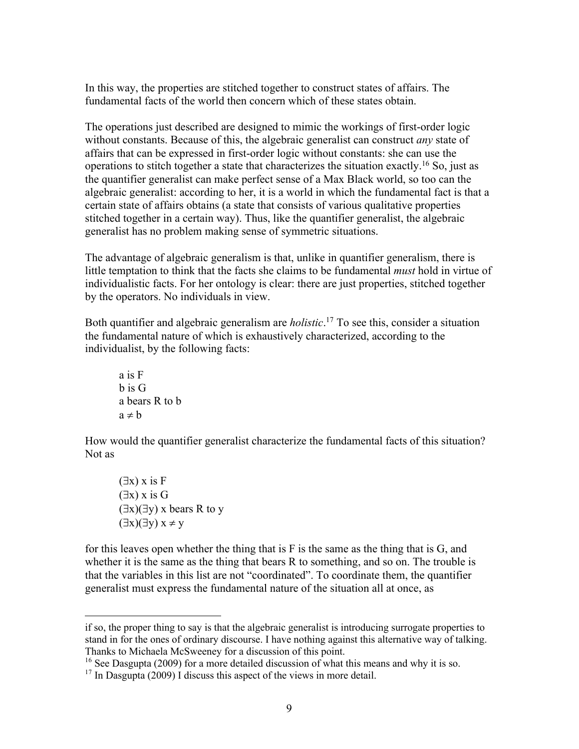In this way, the properties are stitched together to construct states of affairs. The fundamental facts of the world then concern which of these states obtain.

The operations just described are designed to mimic the workings of first-order logic without constants. Because of this, the algebraic generalist can construct *any* state of affairs that can be expressed in first-order logic without constants: she can use the operations to stitch together a state that characterizes the situation exactly.<sup>16</sup> So, just as the quantifier generalist can make perfect sense of a Max Black world, so too can the algebraic generalist: according to her, it is a world in which the fundamental fact is that a certain state of affairs obtains (a state that consists of various qualitative properties stitched together in a certain way). Thus, like the quantifier generalist, the algebraic generalist has no problem making sense of symmetric situations.

The advantage of algebraic generalism is that, unlike in quantifier generalism, there is little temptation to think that the facts she claims to be fundamental *must* hold in virtue of individualistic facts. For her ontology is clear: there are just properties, stitched together by the operators. No individuals in view.

Both quantifier and algebraic generalism are *holistic*. <sup>17</sup> To see this, consider a situation the fundamental nature of which is exhaustively characterized, according to the individualist, by the following facts:

a is F b is G a bears R to b  $a \neq b$ 

How would the quantifier generalist characterize the fundamental facts of this situation? Not as

 $(\exists x)$  x is F  $(\exists x)$  x is G  $(\exists x)(\exists y)$  x bears R to y  $(\exists x)(\exists y) x \neq y$ 

for this leaves open whether the thing that is  $F$  is the same as the thing that is  $G$ , and whether it is the same as the thing that bears R to something, and so on. The trouble is that the variables in this list are not "coordinated". To coordinate them, the quantifier generalist must express the fundamental nature of the situation all at once, as

if so, the proper thing to say is that the algebraic generalist is introducing surrogate properties to stand in for the ones of ordinary discourse. I have nothing against this alternative way of talking. Thanks to Michaela McSweeney for a discussion of this point.

<sup>&</sup>lt;sup>16</sup> See Dasgupta (2009) for a more detailed discussion of what this means and why it is so.

 $17$  In Dasgupta (2009) I discuss this aspect of the views in more detail.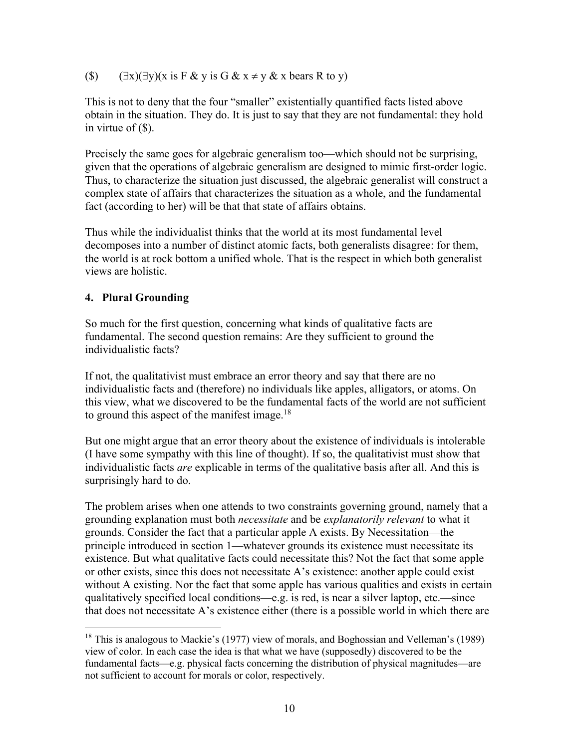## (\$)  $(\exists x)(\exists y)(x \text{ is } F \& y \text{ is } G \& x \neq y \& x \text{ bears } R \text{ to } y)$

This is not to deny that the four "smaller" existentially quantified facts listed above obtain in the situation. They do. It is just to say that they are not fundamental: they hold in virtue of (\$).

Precisely the same goes for algebraic generalism too—which should not be surprising, given that the operations of algebraic generalism are designed to mimic first-order logic. Thus, to characterize the situation just discussed, the algebraic generalist will construct a complex state of affairs that characterizes the situation as a whole, and the fundamental fact (according to her) will be that that state of affairs obtains.

Thus while the individualist thinks that the world at its most fundamental level decomposes into a number of distinct atomic facts, both generalists disagree: for them, the world is at rock bottom a unified whole. That is the respect in which both generalist views are holistic.

## **4. Plural Grounding**

So much for the first question, concerning what kinds of qualitative facts are fundamental. The second question remains: Are they sufficient to ground the individualistic facts?

If not, the qualitativist must embrace an error theory and say that there are no individualistic facts and (therefore) no individuals like apples, alligators, or atoms. On this view, what we discovered to be the fundamental facts of the world are not sufficient to ground this aspect of the manifest image.<sup>18</sup>

But one might argue that an error theory about the existence of individuals is intolerable (I have some sympathy with this line of thought). If so, the qualitativist must show that individualistic facts *are* explicable in terms of the qualitative basis after all. And this is surprisingly hard to do.

The problem arises when one attends to two constraints governing ground, namely that a grounding explanation must both *necessitate* and be *explanatorily relevant* to what it grounds. Consider the fact that a particular apple A exists. By Necessitation—the principle introduced in section 1—whatever grounds its existence must necessitate its existence. But what qualitative facts could necessitate this? Not the fact that some apple or other exists, since this does not necessitate A's existence: another apple could exist without A existing. Nor the fact that some apple has various qualities and exists in certain qualitatively specified local conditions—e.g. is red, is near a silver laptop, etc.—since that does not necessitate A's existence either (there is a possible world in which there are

<sup>&</sup>lt;sup>18</sup> This is analogous to Mackie's (1977) view of morals, and Boghossian and Velleman's (1989) view of color. In each case the idea is that what we have (supposedly) discovered to be the fundamental facts—e.g. physical facts concerning the distribution of physical magnitudes—are not sufficient to account for morals or color, respectively.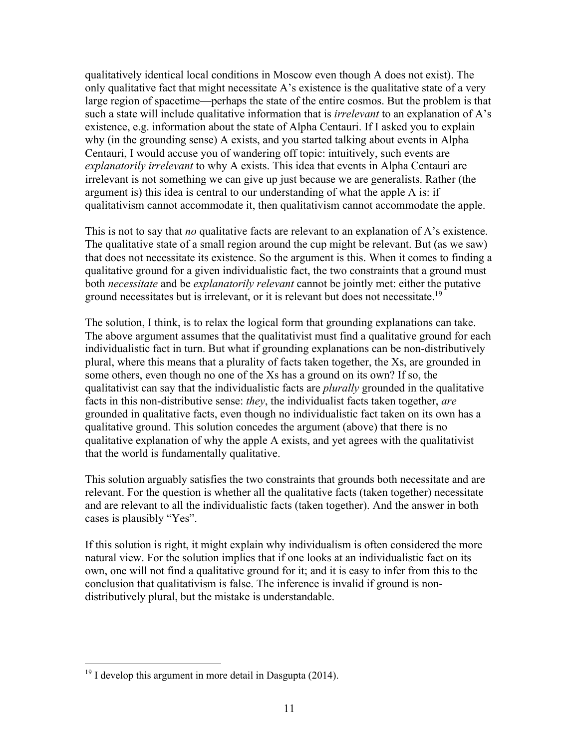qualitatively identical local conditions in Moscow even though A does not exist). The only qualitative fact that might necessitate A's existence is the qualitative state of a very large region of spacetime—perhaps the state of the entire cosmos. But the problem is that such a state will include qualitative information that is *irrelevant* to an explanation of A's existence, e.g. information about the state of Alpha Centauri. If I asked you to explain why (in the grounding sense) A exists, and you started talking about events in Alpha Centauri, I would accuse you of wandering off topic: intuitively, such events are *explanatorily irrelevant* to why A exists. This idea that events in Alpha Centauri are irrelevant is not something we can give up just because we are generalists. Rather (the argument is) this idea is central to our understanding of what the apple A is: if qualitativism cannot accommodate it, then qualitativism cannot accommodate the apple.

This is not to say that *no* qualitative facts are relevant to an explanation of A's existence. The qualitative state of a small region around the cup might be relevant. But (as we saw) that does not necessitate its existence. So the argument is this. When it comes to finding a qualitative ground for a given individualistic fact, the two constraints that a ground must both *necessitate* and be *explanatorily relevant* cannot be jointly met: either the putative ground necessitates but is irrelevant, or it is relevant but does not necessitate.19

The solution, I think, is to relax the logical form that grounding explanations can take. The above argument assumes that the qualitativist must find a qualitative ground for each individualistic fact in turn. But what if grounding explanations can be non-distributively plural, where this means that a plurality of facts taken together, the Xs, are grounded in some others, even though no one of the Xs has a ground on its own? If so, the qualitativist can say that the individualistic facts are *plurally* grounded in the qualitative facts in this non-distributive sense: *they*, the individualist facts taken together, *are* grounded in qualitative facts, even though no individualistic fact taken on its own has a qualitative ground. This solution concedes the argument (above) that there is no qualitative explanation of why the apple A exists, and yet agrees with the qualitativist that the world is fundamentally qualitative.

This solution arguably satisfies the two constraints that grounds both necessitate and are relevant. For the question is whether all the qualitative facts (taken together) necessitate and are relevant to all the individualistic facts (taken together). And the answer in both cases is plausibly "Yes".

If this solution is right, it might explain why individualism is often considered the more natural view. For the solution implies that if one looks at an individualistic fact on its own, one will not find a qualitative ground for it; and it is easy to infer from this to the conclusion that qualitativism is false. The inference is invalid if ground is nondistributively plural, but the mistake is understandable.

 $19$  I develop this argument in more detail in Dasgupta (2014).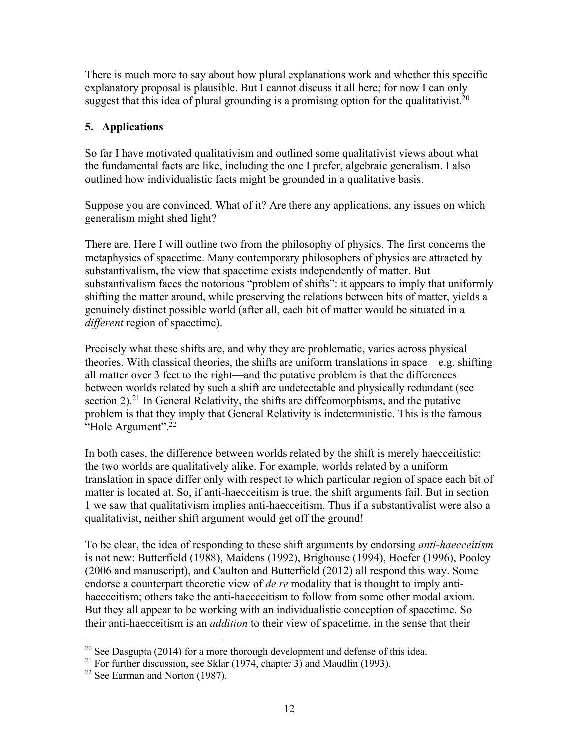There is much more to say about how plural explanations work and whether this specific explanatory proposal is plausible. But I cannot discuss it all here; for now I can only suggest that this idea of plural grounding is a promising option for the qualitativist.<sup>20</sup>

## **5. Applications**

So far I have motivated qualitativism and outlined some qualitativist views about what the fundamental facts are like, including the one I prefer, algebraic generalism. I also outlined how individualistic facts might be grounded in a qualitative basis.

Suppose you are convinced. What of it? Are there any applications, any issues on which generalism might shed light?

There are. Here I will outline two from the philosophy of physics. The first concerns the metaphysics of spacetime. Many contemporary philosophers of physics are attracted by substantivalism, the view that spacetime exists independently of matter. But substantivalism faces the notorious "problem of shifts": it appears to imply that uniformly shifting the matter around, while preserving the relations between bits of matter, yields a genuinely distinct possible world (after all, each bit of matter would be situated in a *different* region of spacetime).

Precisely what these shifts are, and why they are problematic, varies across physical theories. With classical theories, the shifts are uniform translations in space—e.g. shifting all matter over 3 feet to the right—and the putative problem is that the differences between worlds related by such a shift are undetectable and physically redundant (see section  $2$ ).<sup>21</sup> In General Relativity, the shifts are diffeomorphisms, and the putative problem is that they imply that General Relativity is indeterministic. This is the famous "Hole Argument".22

In both cases, the difference between worlds related by the shift is merely haecceitistic: the two worlds are qualitatively alike. For example, worlds related by a uniform translation in space differ only with respect to which particular region of space each bit of matter is located at. So, if anti-haecceitism is true, the shift arguments fail. But in section 1 we saw that qualitativism implies anti-haecceitism. Thus if a substantivalist were also a qualitativist, neither shift argument would get off the ground!

To be clear, the idea of responding to these shift arguments by endorsing *anti-haecceitism*  is not new: Butterfield (1988), Maidens (1992), Brighouse (1994), Hoefer (1996), Pooley (2006 and manuscript), and Caulton and Butterfield (2012) all respond this way. Some endorse a counterpart theoretic view of *de re* modality that is thought to imply antihaecceitism; others take the anti-haecceitism to follow from some other modal axiom. But they all appear to be working with an individualistic conception of spacetime. So their anti-haecceitism is an *addition* to their view of spacetime, in the sense that their

<sup>&</sup>lt;sup>20</sup> See Dasgupta (2014) for a more thorough development and defense of this idea.

<sup>&</sup>lt;sup>21</sup> For further discussion, see Sklar (1974, chapter 3) and Maudlin (1993).

 $22$  See Earman and Norton (1987).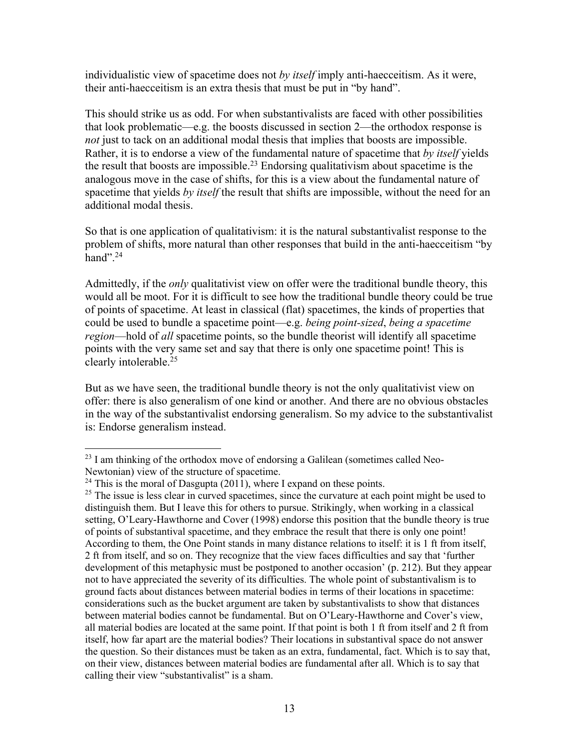individualistic view of spacetime does not *by itself* imply anti-haecceitism. As it were, their anti-haecceitism is an extra thesis that must be put in "by hand".

This should strike us as odd. For when substantivalists are faced with other possibilities that look problematic—e.g. the boosts discussed in section 2—the orthodox response is *not* just to tack on an additional modal thesis that implies that boosts are impossible. Rather, it is to endorse a view of the fundamental nature of spacetime that *by itself* yields the result that boosts are impossible.<sup>23</sup> Endorsing qualitativism about spacetime is the analogous move in the case of shifts, for this is a view about the fundamental nature of spacetime that yields *by itself* the result that shifts are impossible, without the need for an additional modal thesis.

So that is one application of qualitativism: it is the natural substantivalist response to the problem of shifts, more natural than other responses that build in the anti-haecceitism "by hand".<sup>24</sup>

Admittedly, if the *only* qualitativist view on offer were the traditional bundle theory, this would all be moot. For it is difficult to see how the traditional bundle theory could be true of points of spacetime. At least in classical (flat) spacetimes, the kinds of properties that could be used to bundle a spacetime point—e.g. *being point-sized*, *being a spacetime region*—hold of *all* spacetime points, so the bundle theorist will identify all spacetime points with the very same set and say that there is only one spacetime point! This is clearly intolerable. 25

But as we have seen, the traditional bundle theory is not the only qualitativist view on offer: there is also generalism of one kind or another. And there are no obvious obstacles in the way of the substantivalist endorsing generalism. So my advice to the substantivalist is: Endorse generalism instead.

 $^{23}$  I am thinking of the orthodox move of endorsing a Galilean (sometimes called Neo-Newtonian) view of the structure of spacetime.

<sup>&</sup>lt;sup>24</sup> This is the moral of Dasgupta (2011), where I expand on these points.

 $25$  The issue is less clear in curved spacetimes, since the curvature at each point might be used to distinguish them. But I leave this for others to pursue. Strikingly, when working in a classical setting, O'Leary-Hawthorne and Cover (1998) endorse this position that the bundle theory is true of points of substantival spacetime, and they embrace the result that there is only one point! According to them, the One Point stands in many distance relations to itself: it is 1 ft from itself, 2 ft from itself, and so on. They recognize that the view faces difficulties and say that 'further development of this metaphysic must be postponed to another occasion' (p. 212). But they appear not to have appreciated the severity of its difficulties. The whole point of substantivalism is to ground facts about distances between material bodies in terms of their locations in spacetime: considerations such as the bucket argument are taken by substantivalists to show that distances between material bodies cannot be fundamental. But on O'Leary-Hawthorne and Cover's view, all material bodies are located at the same point. If that point is both 1 ft from itself and 2 ft from itself, how far apart are the material bodies? Their locations in substantival space do not answer the question. So their distances must be taken as an extra, fundamental, fact. Which is to say that, on their view, distances between material bodies are fundamental after all. Which is to say that calling their view "substantivalist" is a sham.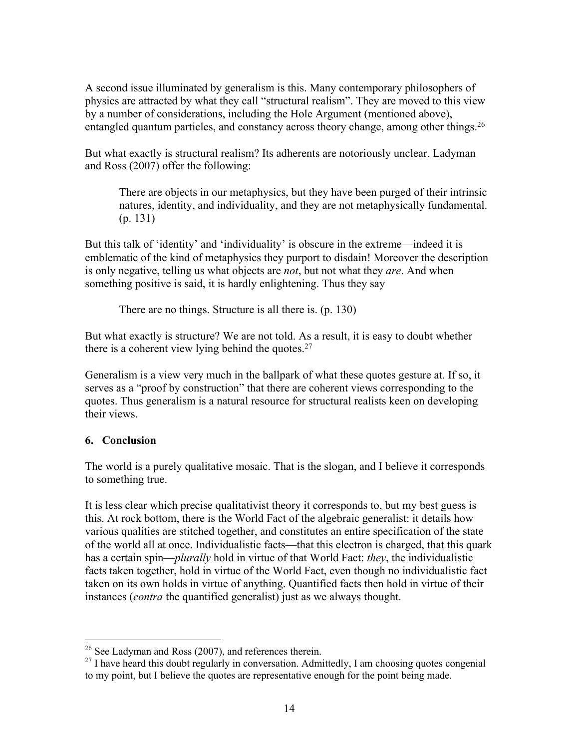A second issue illuminated by generalism is this. Many contemporary philosophers of physics are attracted by what they call "structural realism". They are moved to this view by a number of considerations, including the Hole Argument (mentioned above), entangled quantum particles, and constancy across theory change, among other things.<sup>26</sup>

But what exactly is structural realism? Its adherents are notoriously unclear. Ladyman and Ross (2007) offer the following:

There are objects in our metaphysics, but they have been purged of their intrinsic natures, identity, and individuality, and they are not metaphysically fundamental. (p. 131)

But this talk of 'identity' and 'individuality' is obscure in the extreme—indeed it is emblematic of the kind of metaphysics they purport to disdain! Moreover the description is only negative, telling us what objects are *not*, but not what they *are*. And when something positive is said, it is hardly enlightening. Thus they say

There are no things. Structure is all there is. (p. 130)

But what exactly is structure? We are not told. As a result, it is easy to doubt whether there is a coherent view lying behind the quotes. $27$ 

Generalism is a view very much in the ballpark of what these quotes gesture at. If so, it serves as a "proof by construction" that there are coherent views corresponding to the quotes. Thus generalism is a natural resource for structural realists keen on developing their views.

### **6. Conclusion**

The world is a purely qualitative mosaic. That is the slogan, and I believe it corresponds to something true.

It is less clear which precise qualitativist theory it corresponds to, but my best guess is this. At rock bottom, there is the World Fact of the algebraic generalist: it details how various qualities are stitched together, and constitutes an entire specification of the state of the world all at once. Individualistic facts—that this electron is charged, that this quark has a certain spin—*plurally* hold in virtue of that World Fact: *they*, the individualistic facts taken together, hold in virtue of the World Fact, even though no individualistic fact taken on its own holds in virtue of anything. Quantified facts then hold in virtue of their instances (*contra* the quantified generalist) just as we always thought.

 $26$  See Ladyman and Ross (2007), and references therein.

 $27$  I have heard this doubt regularly in conversation. Admittedly, I am choosing quotes congenial to my point, but I believe the quotes are representative enough for the point being made.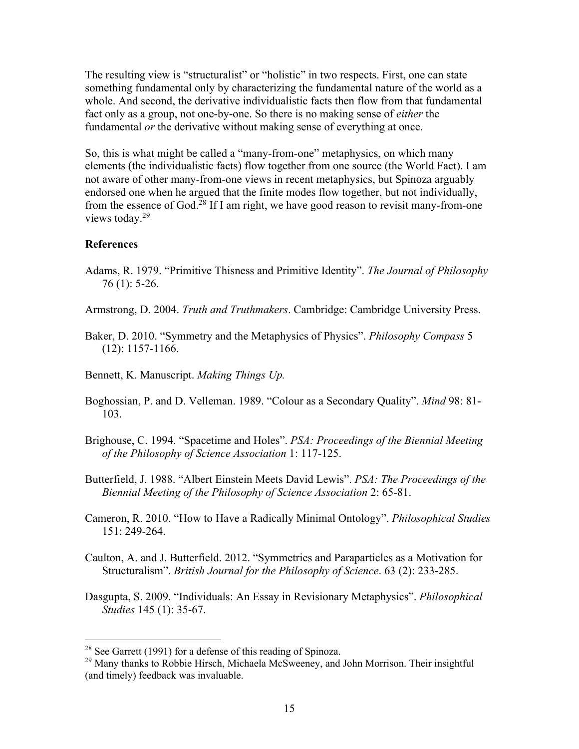The resulting view is "structuralist" or "holistic" in two respects. First, one can state something fundamental only by characterizing the fundamental nature of the world as a whole. And second, the derivative individualistic facts then flow from that fundamental fact only as a group, not one-by-one. So there is no making sense of *either* the fundamental *or* the derivative without making sense of everything at once.

So, this is what might be called a "many-from-one" metaphysics, on which many elements (the individualistic facts) flow together from one source (the World Fact). I am not aware of other many-from-one views in recent metaphysics, but Spinoza arguably endorsed one when he argued that the finite modes flow together, but not individually, from the essence of God.28 If I am right, we have good reason to revisit many-from-one views today.29

### **References**

- Adams, R. 1979. "Primitive Thisness and Primitive Identity". *The Journal of Philosophy* 76 (1): 5-26.
- Armstrong, D. 2004. *Truth and Truthmakers*. Cambridge: Cambridge University Press.
- Baker, D. 2010. "Symmetry and the Metaphysics of Physics". *Philosophy Compass* 5 (12): 1157-1166.
- Bennett, K. Manuscript. *Making Things Up.*
- Boghossian, P. and D. Velleman. 1989. "Colour as a Secondary Quality". *Mind* 98: 81- 103.
- Brighouse, C. 1994. "Spacetime and Holes". *PSA: Proceedings of the Biennial Meeting of the Philosophy of Science Association* 1: 117-125.
- Butterfield, J. 1988. "Albert Einstein Meets David Lewis". *PSA: The Proceedings of the Biennial Meeting of the Philosophy of Science Association* 2: 65-81.
- Cameron, R. 2010. "How to Have a Radically Minimal Ontology". *Philosophical Studies* 151: 249-264.
- Caulton, A. and J. Butterfield. 2012. "Symmetries and Paraparticles as a Motivation for Structuralism". *British Journal for the Philosophy of Science*. 63 (2): 233-285.
- Dasgupta, S. 2009. "Individuals: An Essay in Revisionary Metaphysics". *Philosophical Studies* 145 (1): 35-67.

<sup>&</sup>lt;sup>28</sup> See Garrett (1991) for a defense of this reading of Spinoza.

 $^{29}$  Many thanks to Robbie Hirsch, Michaela McSweeney, and John Morrison. Their insightful (and timely) feedback was invaluable.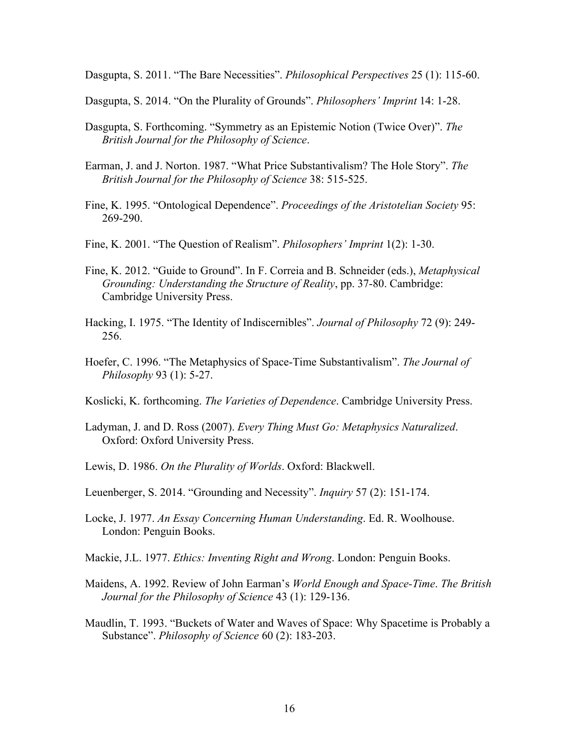Dasgupta, S. 2011. "The Bare Necessities". *Philosophical Perspectives* 25 (1): 115-60.

Dasgupta, S. 2014. "On the Plurality of Grounds". *Philosophers' Imprint* 14: 1-28.

- Dasgupta, S. Forthcoming. "Symmetry as an Epistemic Notion (Twice Over)". *The British Journal for the Philosophy of Science*.
- Earman, J. and J. Norton. 1987. "What Price Substantivalism? The Hole Story". *The British Journal for the Philosophy of Science* 38: 515-525.
- Fine, K. 1995. "Ontological Dependence". *Proceedings of the Aristotelian Society* 95: 269-290.
- Fine, K. 2001. "The Question of Realism". *Philosophers' Imprint* 1(2): 1-30.
- Fine, K. 2012. "Guide to Ground". In F. Correia and B. Schneider (eds.), *Metaphysical Grounding: Understanding the Structure of Reality*, pp. 37-80. Cambridge: Cambridge University Press.
- Hacking, I. 1975. "The Identity of Indiscernibles". *Journal of Philosophy* 72 (9): 249- 256.
- Hoefer, C. 1996. "The Metaphysics of Space-Time Substantivalism". *The Journal of Philosophy* 93 (1): 5-27.
- Koslicki, K. forthcoming. *The Varieties of Dependence*. Cambridge University Press.
- Ladyman, J. and D. Ross (2007). *Every Thing Must Go: Metaphysics Naturalized*. Oxford: Oxford University Press.
- Lewis, D. 1986. *On the Plurality of Worlds*. Oxford: Blackwell.
- Leuenberger, S. 2014. "Grounding and Necessity". *Inquiry* 57 (2): 151-174.
- Locke, J. 1977. *An Essay Concerning Human Understanding*. Ed. R. Woolhouse. London: Penguin Books.
- Mackie, J.L. 1977. *Ethics: Inventing Right and Wrong*. London: Penguin Books.
- Maidens, A. 1992. Review of John Earman's *World Enough and Space-Time*. *The British Journal for the Philosophy of Science* 43 (1): 129-136.
- Maudlin, T. 1993. "Buckets of Water and Waves of Space: Why Spacetime is Probably a Substance". *Philosophy of Science* 60 (2): 183-203.